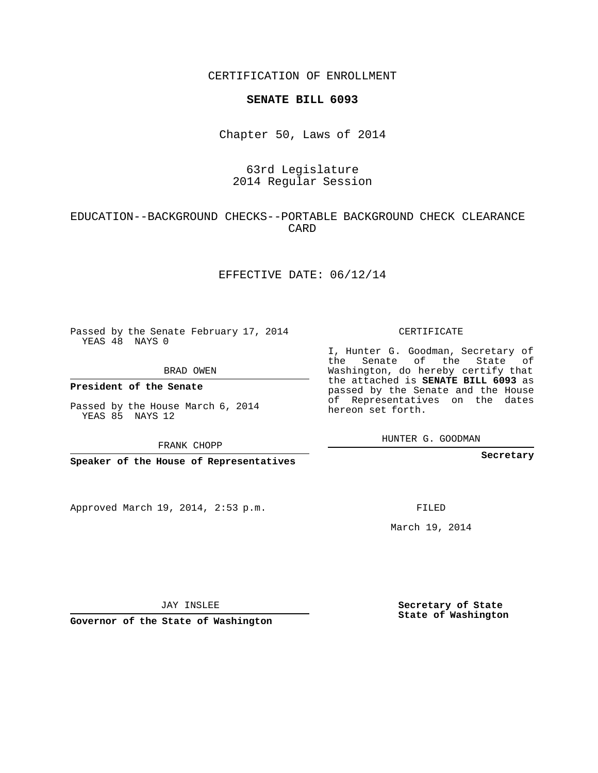CERTIFICATION OF ENROLLMENT

#### **SENATE BILL 6093**

Chapter 50, Laws of 2014

# 63rd Legislature 2014 Regular Session

# EDUCATION--BACKGROUND CHECKS--PORTABLE BACKGROUND CHECK CLEARANCE CARD

### EFFECTIVE DATE: 06/12/14

Passed by the Senate February 17, 2014 YEAS 48 NAYS 0

BRAD OWEN

**President of the Senate**

Passed by the House March 6, 2014 YEAS 85 NAYS 12

FRANK CHOPP

**Speaker of the House of Representatives**

Approved March 19, 2014, 2:53 p.m.

CERTIFICATE

I, Hunter G. Goodman, Secretary of the Senate of the State of Washington, do hereby certify that the attached is **SENATE BILL 6093** as passed by the Senate and the House of Representatives on the dates hereon set forth.

HUNTER G. GOODMAN

**Secretary**

FILED

March 19, 2014

JAY INSLEE

**Governor of the State of Washington**

**Secretary of State State of Washington**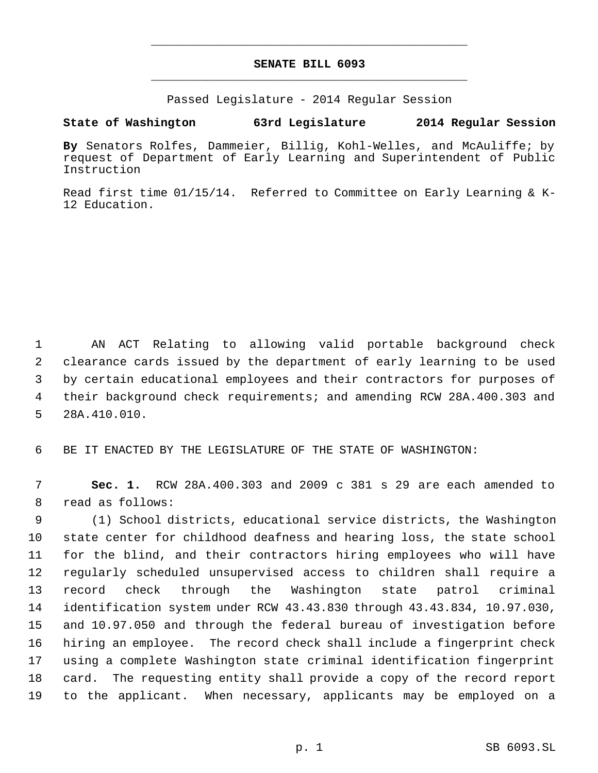# **SENATE BILL 6093** \_\_\_\_\_\_\_\_\_\_\_\_\_\_\_\_\_\_\_\_\_\_\_\_\_\_\_\_\_\_\_\_\_\_\_\_\_\_\_\_\_\_\_\_\_

\_\_\_\_\_\_\_\_\_\_\_\_\_\_\_\_\_\_\_\_\_\_\_\_\_\_\_\_\_\_\_\_\_\_\_\_\_\_\_\_\_\_\_\_\_

Passed Legislature - 2014 Regular Session

# **State of Washington 63rd Legislature 2014 Regular Session**

**By** Senators Rolfes, Dammeier, Billig, Kohl-Welles, and McAuliffe; by request of Department of Early Learning and Superintendent of Public Instruction

Read first time 01/15/14. Referred to Committee on Early Learning & K-12 Education.

 AN ACT Relating to allowing valid portable background check clearance cards issued by the department of early learning to be used by certain educational employees and their contractors for purposes of their background check requirements; and amending RCW 28A.400.303 and 28A.410.010.

BE IT ENACTED BY THE LEGISLATURE OF THE STATE OF WASHINGTON:

 **Sec. 1.** RCW 28A.400.303 and 2009 c 381 s 29 are each amended to read as follows:

 (1) School districts, educational service districts, the Washington state center for childhood deafness and hearing loss, the state school for the blind, and their contractors hiring employees who will have regularly scheduled unsupervised access to children shall require a record check through the Washington state patrol criminal identification system under RCW 43.43.830 through 43.43.834, 10.97.030, and 10.97.050 and through the federal bureau of investigation before hiring an employee. The record check shall include a fingerprint check using a complete Washington state criminal identification fingerprint card. The requesting entity shall provide a copy of the record report to the applicant. When necessary, applicants may be employed on a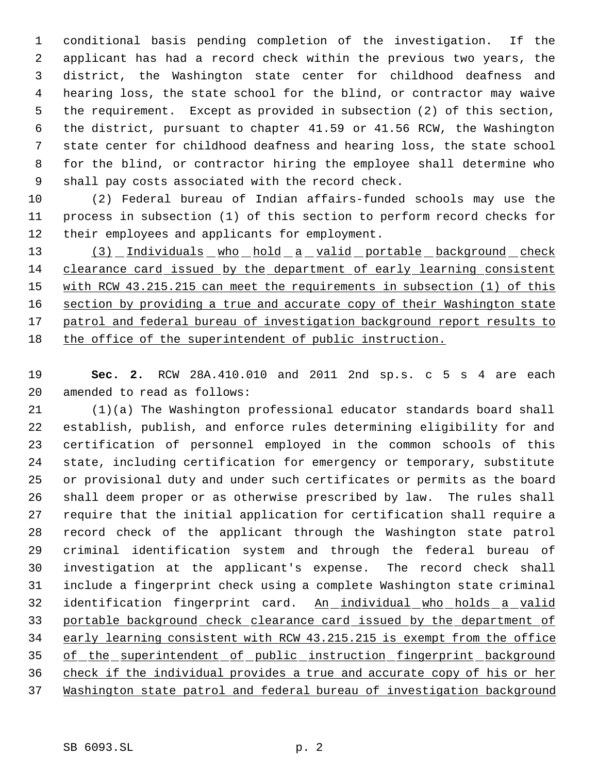conditional basis pending completion of the investigation. If the applicant has had a record check within the previous two years, the district, the Washington state center for childhood deafness and hearing loss, the state school for the blind, or contractor may waive the requirement. Except as provided in subsection (2) of this section, the district, pursuant to chapter 41.59 or 41.56 RCW, the Washington state center for childhood deafness and hearing loss, the state school for the blind, or contractor hiring the employee shall determine who shall pay costs associated with the record check.

 (2) Federal bureau of Indian affairs-funded schools may use the process in subsection (1) of this section to perform record checks for their employees and applicants for employment.

13 (3) Individuals who hold a valid portable background check clearance card issued by the department of early learning consistent with RCW 43.215.215 can meet the requirements in subsection (1) of this 16 section by providing a true and accurate copy of their Washington state 17 patrol and federal bureau of investigation background report results to the office of the superintendent of public instruction.

 **Sec. 2.** RCW 28A.410.010 and 2011 2nd sp.s. c 5 s 4 are each amended to read as follows:

 (1)(a) The Washington professional educator standards board shall establish, publish, and enforce rules determining eligibility for and certification of personnel employed in the common schools of this state, including certification for emergency or temporary, substitute or provisional duty and under such certificates or permits as the board shall deem proper or as otherwise prescribed by law. The rules shall require that the initial application for certification shall require a record check of the applicant through the Washington state patrol criminal identification system and through the federal bureau of investigation at the applicant's expense. The record check shall include a fingerprint check using a complete Washington state criminal 32 identification fingerprint card. An individual who holds a valid portable background check clearance card issued by the department of early learning consistent with RCW 43.215.215 is exempt from the office of the superintendent of public instruction fingerprint background check if the individual provides a true and accurate copy of his or her Washington state patrol and federal bureau of investigation background